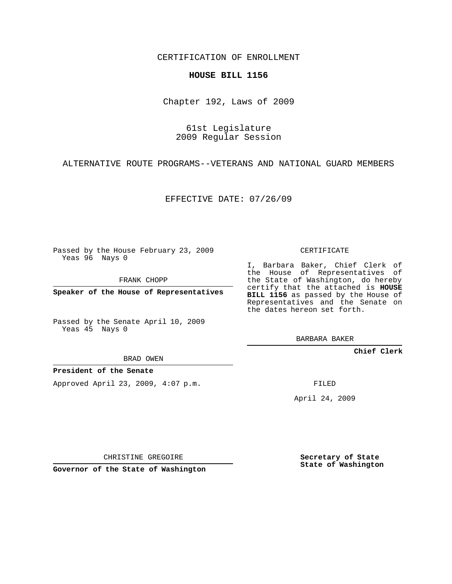CERTIFICATION OF ENROLLMENT

#### **HOUSE BILL 1156**

Chapter 192, Laws of 2009

61st Legislature 2009 Regular Session

ALTERNATIVE ROUTE PROGRAMS--VETERANS AND NATIONAL GUARD MEMBERS

EFFECTIVE DATE: 07/26/09

Passed by the House February 23, 2009 Yeas 96 Nays 0

FRANK CHOPP

**Speaker of the House of Representatives**

Passed by the Senate April 10, 2009 Yeas 45 Nays 0

I, Barbara Baker, Chief Clerk of the House of Representatives of the State of Washington, do hereby certify that the attached is **HOUSE BILL 1156** as passed by the House of Representatives and the Senate on the dates hereon set forth.

BARBARA BAKER

**Chief Clerk**

BRAD OWEN

**President of the Senate**

Approved April 23, 2009, 4:07 p.m.

FILED

April 24, 2009

CHRISTINE GREGOIRE

**Governor of the State of Washington**

**Secretary of State State of Washington**

# CERTIFICATE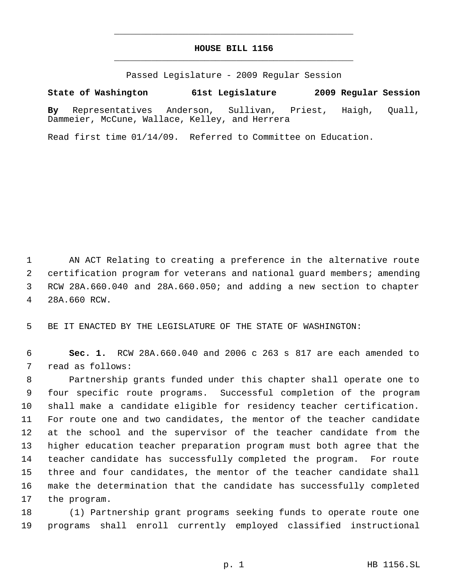## **HOUSE BILL 1156** \_\_\_\_\_\_\_\_\_\_\_\_\_\_\_\_\_\_\_\_\_\_\_\_\_\_\_\_\_\_\_\_\_\_\_\_\_\_\_\_\_\_\_\_\_

\_\_\_\_\_\_\_\_\_\_\_\_\_\_\_\_\_\_\_\_\_\_\_\_\_\_\_\_\_\_\_\_\_\_\_\_\_\_\_\_\_\_\_\_\_

Passed Legislature - 2009 Regular Session

## **State of Washington 61st Legislature 2009 Regular Session**

**By** Representatives Anderson, Sullivan, Priest, Haigh, Quall, Dammeier, McCune, Wallace, Kelley, and Herrera

Read first time 01/14/09. Referred to Committee on Education.

 AN ACT Relating to creating a preference in the alternative route certification program for veterans and national guard members; amending RCW 28A.660.040 and 28A.660.050; and adding a new section to chapter 28A.660 RCW.

BE IT ENACTED BY THE LEGISLATURE OF THE STATE OF WASHINGTON:

 **Sec. 1.** RCW 28A.660.040 and 2006 c 263 s 817 are each amended to read as follows:

 Partnership grants funded under this chapter shall operate one to four specific route programs. Successful completion of the program shall make a candidate eligible for residency teacher certification. For route one and two candidates, the mentor of the teacher candidate at the school and the supervisor of the teacher candidate from the higher education teacher preparation program must both agree that the teacher candidate has successfully completed the program. For route three and four candidates, the mentor of the teacher candidate shall make the determination that the candidate has successfully completed the program.

 (1) Partnership grant programs seeking funds to operate route one programs shall enroll currently employed classified instructional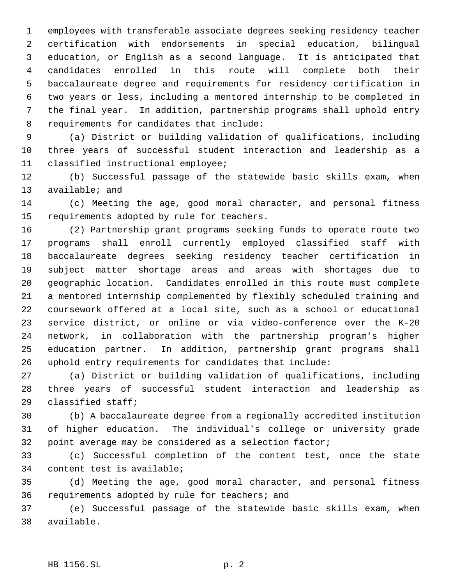employees with transferable associate degrees seeking residency teacher certification with endorsements in special education, bilingual education, or English as a second language. It is anticipated that candidates enrolled in this route will complete both their baccalaureate degree and requirements for residency certification in two years or less, including a mentored internship to be completed in the final year. In addition, partnership programs shall uphold entry requirements for candidates that include:

 (a) District or building validation of qualifications, including three years of successful student interaction and leadership as a classified instructional employee;

 (b) Successful passage of the statewide basic skills exam, when available; and

 (c) Meeting the age, good moral character, and personal fitness requirements adopted by rule for teachers.

 (2) Partnership grant programs seeking funds to operate route two programs shall enroll currently employed classified staff with baccalaureate degrees seeking residency teacher certification in subject matter shortage areas and areas with shortages due to geographic location. Candidates enrolled in this route must complete a mentored internship complemented by flexibly scheduled training and coursework offered at a local site, such as a school or educational service district, or online or via video-conference over the K-20 network, in collaboration with the partnership program's higher education partner. In addition, partnership grant programs shall uphold entry requirements for candidates that include:

 (a) District or building validation of qualifications, including three years of successful student interaction and leadership as classified staff;

 (b) A baccalaureate degree from a regionally accredited institution of higher education. The individual's college or university grade point average may be considered as a selection factor;

 (c) Successful completion of the content test, once the state content test is available;

 (d) Meeting the age, good moral character, and personal fitness requirements adopted by rule for teachers; and

 (e) Successful passage of the statewide basic skills exam, when available.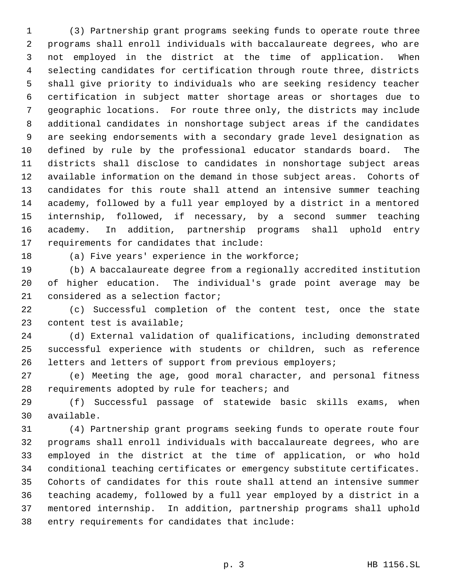(3) Partnership grant programs seeking funds to operate route three programs shall enroll individuals with baccalaureate degrees, who are not employed in the district at the time of application. When selecting candidates for certification through route three, districts shall give priority to individuals who are seeking residency teacher certification in subject matter shortage areas or shortages due to geographic locations. For route three only, the districts may include additional candidates in nonshortage subject areas if the candidates are seeking endorsements with a secondary grade level designation as defined by rule by the professional educator standards board. The districts shall disclose to candidates in nonshortage subject areas available information on the demand in those subject areas. Cohorts of candidates for this route shall attend an intensive summer teaching academy, followed by a full year employed by a district in a mentored internship, followed, if necessary, by a second summer teaching academy. In addition, partnership programs shall uphold entry requirements for candidates that include:

(a) Five years' experience in the workforce;

 (b) A baccalaureate degree from a regionally accredited institution of higher education. The individual's grade point average may be considered as a selection factor;

 (c) Successful completion of the content test, once the state content test is available;

 (d) External validation of qualifications, including demonstrated successful experience with students or children, such as reference letters and letters of support from previous employers;

 (e) Meeting the age, good moral character, and personal fitness requirements adopted by rule for teachers; and

 (f) Successful passage of statewide basic skills exams, when available.

 (4) Partnership grant programs seeking funds to operate route four programs shall enroll individuals with baccalaureate degrees, who are employed in the district at the time of application, or who hold conditional teaching certificates or emergency substitute certificates. Cohorts of candidates for this route shall attend an intensive summer teaching academy, followed by a full year employed by a district in a mentored internship. In addition, partnership programs shall uphold entry requirements for candidates that include: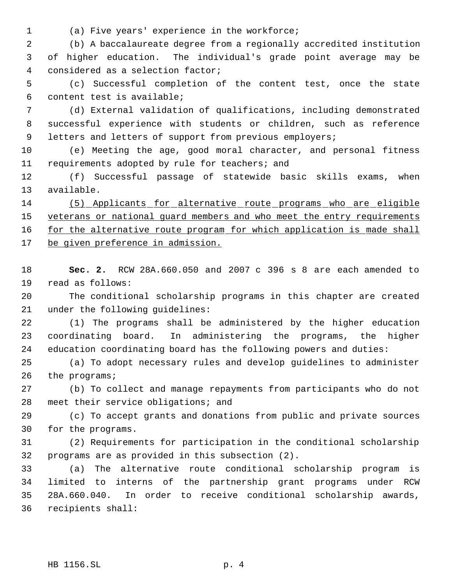- 
- (a) Five years' experience in the workforce;

 (b) A baccalaureate degree from a regionally accredited institution of higher education. The individual's grade point average may be considered as a selection factor;

 (c) Successful completion of the content test, once the state content test is available;

 (d) External validation of qualifications, including demonstrated successful experience with students or children, such as reference 9 letters and letters of support from previous employers;

 (e) Meeting the age, good moral character, and personal fitness requirements adopted by rule for teachers; and

 (f) Successful passage of statewide basic skills exams, when available.

 (5) Applicants for alternative route programs who are eligible 15 veterans or national guard members and who meet the entry requirements 16 for the alternative route program for which application is made shall 17 be given preference in admission.

 **Sec. 2.** RCW 28A.660.050 and 2007 c 396 s 8 are each amended to read as follows:

 The conditional scholarship programs in this chapter are created under the following guidelines:

 (1) The programs shall be administered by the higher education coordinating board. In administering the programs, the higher education coordinating board has the following powers and duties:

 (a) To adopt necessary rules and develop guidelines to administer the programs;

 (b) To collect and manage repayments from participants who do not meet their service obligations; and

 (c) To accept grants and donations from public and private sources for the programs.

 (2) Requirements for participation in the conditional scholarship programs are as provided in this subsection (2).

 (a) The alternative route conditional scholarship program is limited to interns of the partnership grant programs under RCW 28A.660.040. In order to receive conditional scholarship awards, recipients shall: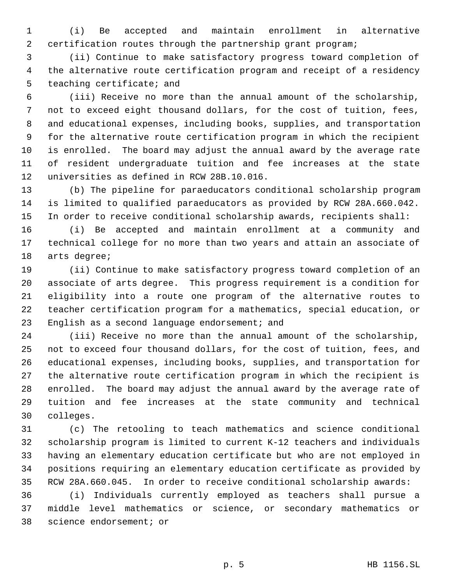(i) Be accepted and maintain enrollment in alternative certification routes through the partnership grant program;

 (ii) Continue to make satisfactory progress toward completion of the alternative route certification program and receipt of a residency teaching certificate; and

 (iii) Receive no more than the annual amount of the scholarship, not to exceed eight thousand dollars, for the cost of tuition, fees, and educational expenses, including books, supplies, and transportation for the alternative route certification program in which the recipient is enrolled. The board may adjust the annual award by the average rate of resident undergraduate tuition and fee increases at the state universities as defined in RCW 28B.10.016.

 (b) The pipeline for paraeducators conditional scholarship program is limited to qualified paraeducators as provided by RCW 28A.660.042. In order to receive conditional scholarship awards, recipients shall:

 (i) Be accepted and maintain enrollment at a community and technical college for no more than two years and attain an associate of arts degree;

 (ii) Continue to make satisfactory progress toward completion of an associate of arts degree. This progress requirement is a condition for eligibility into a route one program of the alternative routes to teacher certification program for a mathematics, special education, or 23 English as a second language endorsement; and

 (iii) Receive no more than the annual amount of the scholarship, not to exceed four thousand dollars, for the cost of tuition, fees, and educational expenses, including books, supplies, and transportation for the alternative route certification program in which the recipient is enrolled. The board may adjust the annual award by the average rate of tuition and fee increases at the state community and technical colleges.

 (c) The retooling to teach mathematics and science conditional scholarship program is limited to current K-12 teachers and individuals having an elementary education certificate but who are not employed in positions requiring an elementary education certificate as provided by RCW 28A.660.045. In order to receive conditional scholarship awards:

 (i) Individuals currently employed as teachers shall pursue a middle level mathematics or science, or secondary mathematics or science endorsement; or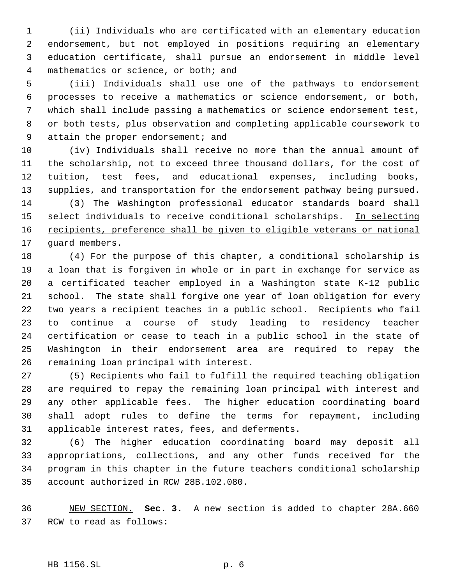(ii) Individuals who are certificated with an elementary education endorsement, but not employed in positions requiring an elementary education certificate, shall pursue an endorsement in middle level mathematics or science, or both; and

 (iii) Individuals shall use one of the pathways to endorsement processes to receive a mathematics or science endorsement, or both, which shall include passing a mathematics or science endorsement test, or both tests, plus observation and completing applicable coursework to 9 attain the proper endorsement; and

 (iv) Individuals shall receive no more than the annual amount of the scholarship, not to exceed three thousand dollars, for the cost of tuition, test fees, and educational expenses, including books, supplies, and transportation for the endorsement pathway being pursued. (3) The Washington professional educator standards board shall 15 select individuals to receive conditional scholarships. In selecting 16 recipients, preference shall be given to eligible veterans or national 17 guard members.

 (4) For the purpose of this chapter, a conditional scholarship is a loan that is forgiven in whole or in part in exchange for service as a certificated teacher employed in a Washington state K-12 public school. The state shall forgive one year of loan obligation for every two years a recipient teaches in a public school. Recipients who fail to continue a course of study leading to residency teacher certification or cease to teach in a public school in the state of Washington in their endorsement area are required to repay the remaining loan principal with interest.

 (5) Recipients who fail to fulfill the required teaching obligation are required to repay the remaining loan principal with interest and any other applicable fees. The higher education coordinating board shall adopt rules to define the terms for repayment, including applicable interest rates, fees, and deferments.

 (6) The higher education coordinating board may deposit all appropriations, collections, and any other funds received for the program in this chapter in the future teachers conditional scholarship account authorized in RCW 28B.102.080.

 NEW SECTION. **Sec. 3.** A new section is added to chapter 28A.660 RCW to read as follows:

## HB 1156.SL p. 6